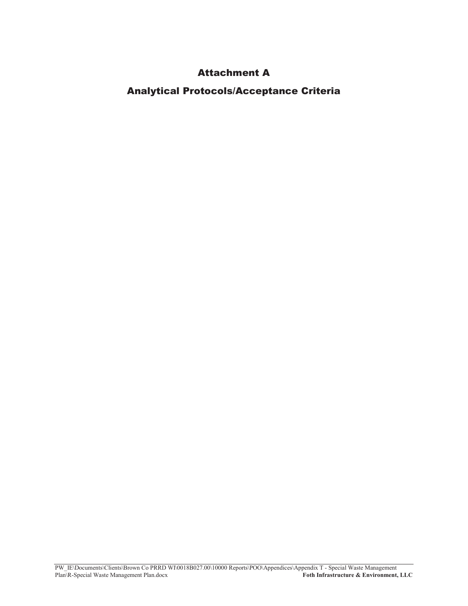### **Attachment A**

Analytical Protocols/Acceptance Criteria

PW\_IE\Documents\Clients\Brown Co PRRD WI\0018B027.00\10000 Reports\POO\Appendices\Appendix T - Special Waste Management 3OB Plan\R-Special Waste Management Plan.docx **(2008)** 30 and 30 and 30 and 30 and 30 and 30 and 30 and 30 and 30 and 30 and 30 and 30 and 30 and 30 and 30 and 30 and 30 and 30 and 30 and 30 and 30 and 30 and 30 and 30 and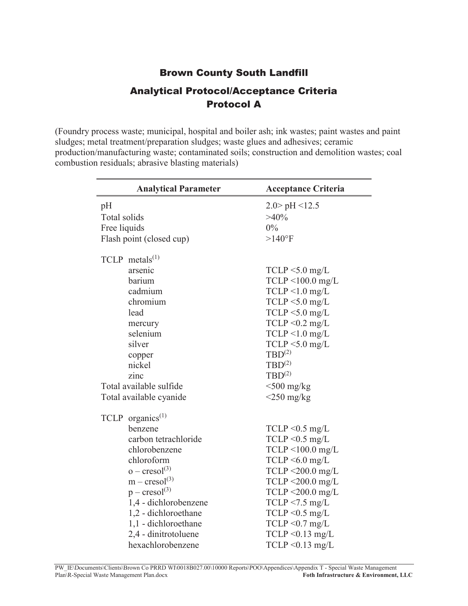# Brown County South Landfill Analytical Protocol/Acceptance Criteria Protocol A

(Foundry process waste; municipal, hospital and boiler ash; ink wastes; paint wastes and paint sludges; metal treatment/preparation sludges; waste glues and adhesives; ceramic production/manufacturing waste; contaminated soils; construction and demolition wastes; coal combustion residuals; abrasive blasting materials)

| <b>Analytical Parameter</b>  | <b>Acceptance Criteria</b>  |
|------------------------------|-----------------------------|
| pH                           | $2.0$ pH <12.5              |
| Total solids                 | $>40\%$                     |
| Free liquids                 | $0\%$                       |
| Flash point (closed cup)     | $>140^{\circ}F$             |
|                              |                             |
| $TCLP$ metals <sup>(1)</sup> |                             |
| arsenic                      | $TCLP < 5.0$ mg/L           |
| barium                       | $TCLP < 100.0$ mg/L         |
| cadmium                      | $TCLP < 1.0$ mg/L           |
| chromium                     | $TCLP < 5.0$ mg/L           |
| lead                         | $TCLP < 5.0$ mg/L           |
| mercury                      | $TCLP < 0.2$ mg/L           |
| selenium                     | $TCLP < 1.0$ mg/L           |
| silver                       | $TCLP < 5.0$ mg/L           |
| copper                       | $TBD^{(2)}$                 |
| nickel                       | $TBD^{(2)}$                 |
| zinc                         | $TBD^{(2)}$                 |
| Total available sulfide      | $<$ 500 mg/kg               |
| Total available cyanide      | $\langle 250 \rangle$ mg/kg |
| TCLP organics <sup>(1)</sup> |                             |
| benzene                      | $TCLP \leq 0.5$ mg/L        |
| carbon tetrachloride         | $TCLP < 0.5$ mg/L           |
| chlorobenzene                | $TCLP < 100.0$ mg/L         |
| chloroform                   | $TCLP < 6.0$ mg/L           |
| $o - \text{cresol}^{(3)}$    | $TCLP < 200.0$ mg/L         |
| $m - cresol(3)$              | $TCLP < 200.0$ mg/L         |
| $p - cresol(3)$              | $TCLP < 200.0$ mg/L         |
| 1,4 - dichlorobenzene        | $TCLP < 7.5$ mg/L           |
| 1,2 - dichloroethane         | $TCLP < 0.5$ mg/L           |
| 1,1 - dichloroethane         | $TCLP < 0.7$ mg/L           |
| 2,4 - dinitrotoluene         | $TCLP < 0.13$ mg/L          |
| hexachlorobenzene            | $TCLP < 0.13$ mg/L          |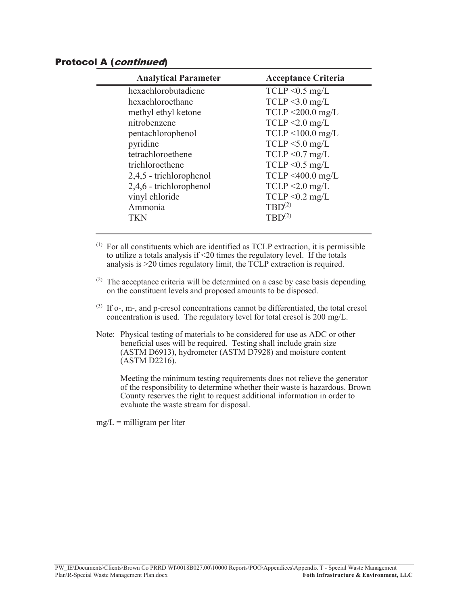#### Protocol A (continued)

| <b>Analytical Parameter</b> | <b>Acceptance Criteria</b> |
|-----------------------------|----------------------------|
| hexachlorobutadiene         | $TCLP < 0.5$ mg/L          |
| hexachloroethane            | $TCLP < 3.0$ mg/L          |
| methyl ethyl ketone         | $TCLP < 200.0$ mg/L        |
| nitrobenzene                | $TCLP < 2.0$ mg/L          |
| pentachlorophenol           | $TCLP < 100.0$ mg/L        |
| pyridine                    | $TCLP < 5.0$ mg/L          |
| tetrachloroethene           | $TCLP < 0.7$ mg/L          |
| trichloroethene             | $TCLP < 0.5$ mg/L          |
| 2,4,5 - trichlorophenol     | $TCLP < 400.0$ mg/L        |
| 2,4,6 - trichlorophenol     | $TCLP < 2.0$ mg/L          |
| vinyl chloride              | $TCLP < 0.2$ mg/L          |
| Ammonia                     | $TBD^{(2)}$                |
| TKN                         | $TBD^{(2)}$                |

- $(1)$  For all constituents which are identified as TCLP extraction, it is permissible to utilize a totals analysis if <20 times the regulatory level. If the totals analysis is >20 times regulatory limit, the TCLP extraction is required.
- $(2)$  The acceptance criteria will be determined on a case by case basis depending on the constituent levels and proposed amounts to be disposed.
- (3) If o-, m-, and p-cresol concentrations cannot be differentiated, the total cresol concentration is used. The regulatory level for total cresol is 200 mg/L.
- Note: Physical testing of materials to be considered for use as ADC or other beneficial uses will be required. Testing shall include grain size (ASTM D6913), hydrometer (ASTM D7928) and moisture content (ASTM D2216).

Meeting the minimum testing requirements does not relieve the generator of the responsibility to determine whether their waste is hazardous. Brown County reserves the right to request additional information in order to evaluate the waste stream for disposal.

 $mg/L =$  milligram per liter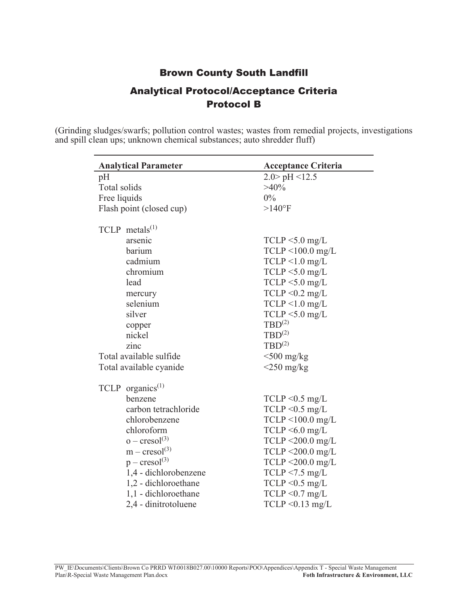### Brown County South Landfill

## Analytical Protocol/Acceptance Criteria Protocol B

(Grinding sludges/swarfs; pollution control wastes; wastes from remedial projects, investigations and spill clean ups; unknown chemical substances; auto shredder fluff)

| <b>Analytical Parameter</b>    | <b>Acceptance Criteria</b> |
|--------------------------------|----------------------------|
| pH                             | $2.0$ pH <12.5             |
| Total solids                   | $>40\%$                    |
| Free liquids                   | $0\%$                      |
| Flash point (closed cup)       | $>140$ °F                  |
| $TCLP$ metals <sup>(1)</sup>   |                            |
| arsenic                        | $TCLP < 5.0$ mg/L          |
| barium                         | $TCLP < 100.0$ mg/L        |
| cadmium                        | $TCLP < 1.0$ mg/L          |
| chromium                       | $TCLP < 5.0$ mg/L          |
| lead                           | $TCLP < 5.0$ mg/L          |
| mercury                        | TCLP < 0.2 mg/L            |
| selenium                       | $TCLP < 1.0$ mg/L          |
| silver                         | $TCLP < 5.0$ mg/L          |
| copper                         | $TBD^{(2)}$                |
| nickel                         | $TBD^{(2)}$                |
| zinc                           | $TBD^{(2)}$                |
| Total available sulfide        | $<$ 500 mg/kg              |
| Total available cyanide        | $<$ 250 mg/kg              |
| $TCLP$ organics <sup>(1)</sup> |                            |
| benzene                        | $TCLP \leq 0.5$ mg/L       |
| carbon tetrachloride           | $TCLP < 0.5$ mg/L          |
| chlorobenzene                  | $TCLP < 100.0$ mg/L        |
| chloroform                     | $TCLP \leq 6.0$ mg/L       |
| $o - cresol(3)$                | $TCLP < 200.0$ mg/L        |
| $m - cresol(3)$                | $TCLP < 200.0$ mg/L        |
| $p - cresol(3)$                | $TCLP < 200.0$ mg/L        |
| 1,4 - dichlorobenzene          | $TCLP < 7.5$ mg/L          |
| 1,2 - dichloroethane           | $TCLP < 0.5$ mg/L          |
| 1,1 - dichloroethane           | $TCLP < 0.7$ mg/L          |
| 2,4 - dinitrotoluene           | $TCLP < 0.13$ mg/L         |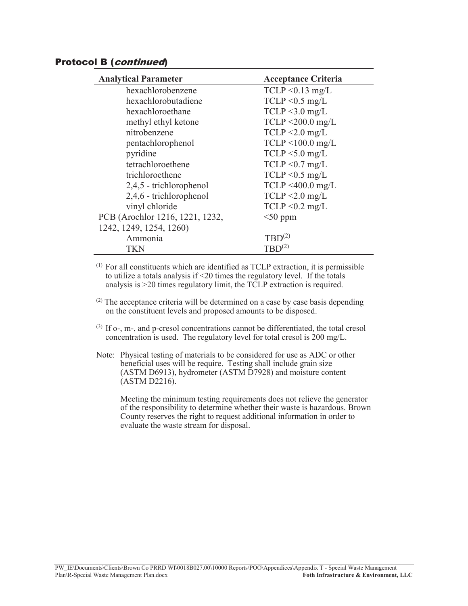#### Protocol B (continued)

| <b>Acceptance Criteria</b> |
|----------------------------|
| $TCLP < 0.13$ mg/L         |
| $TCLP < 0.5$ mg/L          |
| $TCLP < 3.0$ mg/L          |
| $TCLP < 200.0$ mg/L        |
| $TCLP < 2.0$ mg/L          |
| $TCLP < 100.0$ mg/L        |
| $TCLP < 5.0$ mg/L          |
| $TCLP < 0.7$ mg/L          |
| $TCLP < 0.5$ mg/L          |
| $TCLP < 400.0$ mg/L        |
| $TCLP < 2.0$ mg/L          |
| $TCLP < 0.2$ mg/L          |
| $<$ 50 ppm                 |
|                            |
| $TBD^{(2)}$                |
| $TBD^{(2)}$                |
|                            |

(1) For all constituents which are identified as TCLP extraction, it is permissible to utilize a totals analysis if <20 times the regulatory level. If the totals analysis is >20 times regulatory limit, the TCLP extraction is required.

- $(2)$  The acceptance criteria will be determined on a case by case basis depending on the constituent levels and proposed amounts to be disposed.
- (3) If o-, m-, and p-cresol concentrations cannot be differentiated, the total cresol concentration is used. The regulatory level for total cresol is 200 mg/L.
- Note: Physical testing of materials to be considered for use as ADC or other beneficial uses will be require. Testing shall include grain size (ASTM D6913), hydrometer (ASTM D7928) and moisture content (ASTM D2216).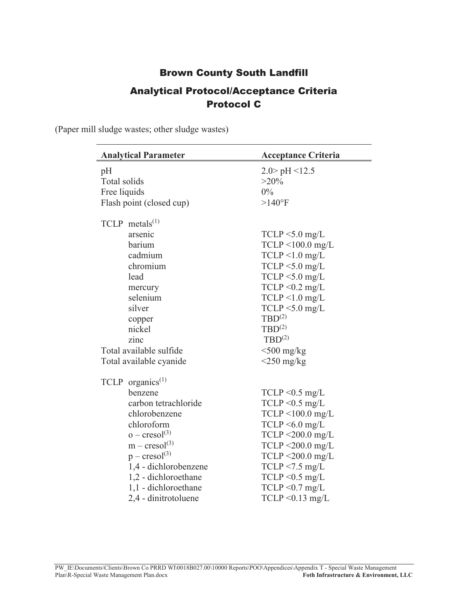# Brown County South Landfill Analytical Protocol/Acceptance Criteria Protocol C

(Paper mill sludge wastes; other sludge wastes)

| <b>Analytical Parameter</b>  | <b>Acceptance Criteria</b> |
|------------------------------|----------------------------|
| pH                           | $2.0$ pH <12.5             |
| Total solids                 | $>20\%$                    |
| Free liquids                 | $0\%$                      |
| Flash point (closed cup)     | $>140$ °F                  |
| $TCLP$ metals <sup>(1)</sup> |                            |
| arsenic                      | $TCLP < 5.0$ mg/L          |
| barium                       | $TCLP < 100.0$ mg/L        |
| cadmium                      | $TCLP < 1.0$ mg/L          |
| chromium                     | $TCLP < 5.0$ mg/L          |
| lead                         | $TCLP < 5.0$ mg/L          |
| mercury                      | TCLP < 0.2 mg/L            |
| selenium                     | $TCLP < 1.0$ mg/L          |
| silver                       | $TCLP < 5.0$ mg/L          |
| copper                       | $TBD^{(2)}$                |
| nickel                       | $TBD^{(2)}$                |
| zinc                         | $TBD^{(2)}$                |
| Total available sulfide      | $<$ 500 mg/kg              |
| Total available cyanide      | $\leq$ 250 mg/kg           |
| TCLP organics <sup>(1)</sup> |                            |
| benzene                      | $TCLP < 0.5$ mg/L          |
| carbon tetrachloride         | $TCLP < 0.5$ mg/L          |
| chlorobenzene                | $TCLP < 100.0$ mg/L        |
| chloroform                   | $TCLP < 6.0$ mg/L          |
| $o - \text{cresol}^{(3)}$    | $TCLP < 200.0$ mg/L        |
| $m - cresol(3)$              | $TCLP < 200.0$ mg/L        |
| $p - cresol(3)$              | $TCLP < 200.0$ mg/L        |
| 1,4 - dichlorobenzene        | $TCLP < 7.5$ mg/L          |
| 1,2 - dichloroethane         | $TCLP < 0.5$ mg/L          |
| 1,1 - dichloroethane         | $TCLP < 0.7$ mg/L          |
| 2,4 - dinitrotoluene         | $TCLP < 0.13$ mg/L         |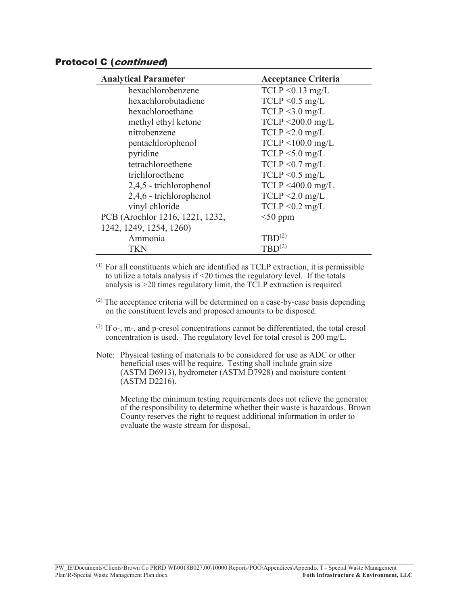#### Protocol C (continued)

| <b>Analytical Parameter</b>     | <b>Acceptance Criteria</b> |
|---------------------------------|----------------------------|
| hexachlorobenzene               | $TCLP < 0.13$ mg/L         |
| hexachlorobutadiene             | $TCLP < 0.5$ mg/L          |
| hexachloroethane                | $TCLP < 3.0$ mg/L          |
| methyl ethyl ketone             | TCLP <200.0 mg/L           |
| nitrobenzene                    | $TCLP < 2.0$ mg/L          |
| pentachlorophenol               | $TCLP < 100.0$ mg/L        |
| pyridine                        | $TCLP < 5.0$ mg/L          |
| tetrachloroethene               | $TCLP < 0.7$ mg/L          |
| trichloroethene                 | $TCLP < 0.5$ mg/L          |
| 2,4,5 - trichlorophenol         | $TCLP < 400.0$ mg/L        |
| 2,4,6 - trichlorophenol         | $TCLP < 2.0$ mg/L          |
| vinyl chloride                  | $TCLP < 0.2$ mg/L          |
| PCB (Arochlor 1216, 1221, 1232, | $<$ 50 ppm                 |
| 1242, 1249, 1254, 1260)         |                            |
| Ammonia                         | $TBD^{(2)}$                |
| TKN                             | $TBD^{(2)}$                |
|                                 |                            |

(1) For all constituents which are identified as TCLP extraction, it is permissible to utilize a totals analysis if <20 times the regulatory level. If the totals analysis is >20 times regulatory limit, the TCLP extraction is required.

- $(2)$  The acceptance criteria will be determined on a case-by-case basis depending on the constituent levels and proposed amounts to be disposed.
- (3) If o-, m-, and p-cresol concentrations cannot be differentiated, the total cresol concentration is used. The regulatory level for total cresol is 200 mg/L.
- Note: Physical testing of materials to be considered for use as ADC or other beneficial uses will be require. Testing shall include grain size (ASTM D6913), hydrometer (ASTM D7928) and moisture content (ASTM D2216).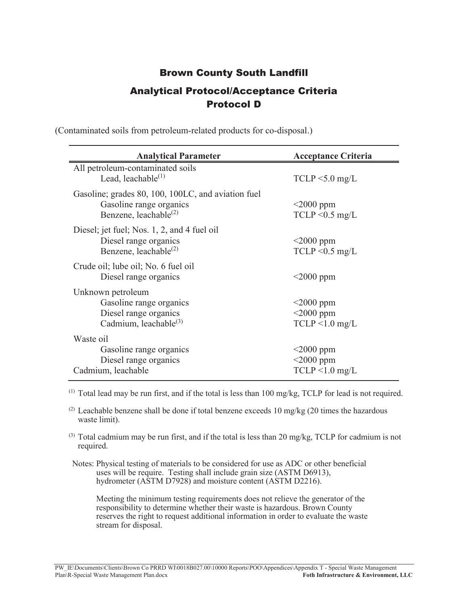# Brown County South Landfill Analytical Protocol/Acceptance Criteria Protocol D

| <b>Analytical Parameter</b>                                                                                  | <b>Acceptance Criteria</b>                        |
|--------------------------------------------------------------------------------------------------------------|---------------------------------------------------|
| All petroleum-contaminated soils<br>Lead, leachable $^{(1)}$                                                 | $TCLP < 5.0$ mg/L                                 |
| Gasoline; grades 80, 100, 100LC, and aviation fuel<br>Gasoline range organics<br>Benzene, leachable $^{(2)}$ | $\leq$ 2000 ppm<br>$TCLP < 0.5$ mg/L              |
| Diesel; jet fuel; Nos. 1, 2, and 4 fuel oil<br>Diesel range organics<br>Benzene, leachable $^{(2)}$          | $\leq$ 2000 ppm<br>$TCLP < 0.5$ mg/L              |
| Crude oil; lube oil; No. 6 fuel oil<br>Diesel range organics                                                 | $\leq$ 2000 ppm                                   |
| Unknown petroleum<br>Gasoline range organics<br>Diesel range organics<br>Cadmium, leachable <sup>(3)</sup>   | $<$ 2000 ppm<br>$<$ 2000 ppm<br>$TCLP < 1.0$ mg/L |
| Waste oil<br>Gasoline range organics<br>Diesel range organics<br>Cadmium, leachable                          | $<$ 2000 ppm<br>$<$ 2000 ppm<br>$TCLP < 1.0$ mg/L |

(Contaminated soils from petroleum-related products for co-disposal.)

 $(1)$  Total lead may be run first, and if the total is less than 100 mg/kg, TCLP for lead is not required.

(2) Leachable benzene shall be done if total benzene exceeds 10 mg/kg (20 times the hazardous waste limit).

- $^{(3)}$  Total cadmium may be run first, and if the total is less than 20 mg/kg, TCLP for cadmium is not required.
- Notes: Physical testing of materials to be considered for use as ADC or other beneficial uses will be require. Testing shall include grain size (ASTM D6913), hydrometer (ASTM D7928) and moisture content (ASTM D2216).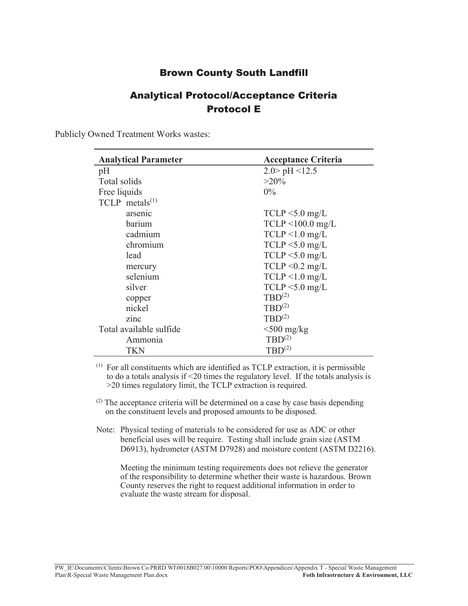#### Brown County South Landfill

## Analytical Protocol/Acceptance Criteria Protocol E

Publicly Owned Treatment Works wastes:

| <b>Analytical Parameter</b> | <b>Acceptance Criteria</b> |
|-----------------------------|----------------------------|
| pH                          | $2.0$ pH <12.5             |
| Total solids                | $>20\%$                    |
| Free liquids                | $0\%$                      |
| TCLP metals $(1)$           |                            |
| arsenic                     | $TCLP < 5.0$ mg/L          |
| barium                      | $TCLP < 100.0$ mg/L        |
| cadmium                     | $TCLP < 1.0$ mg/L          |
| chromium                    | $TCLP < 5.0$ mg/L          |
| lead                        | $TCLP < 5.0$ mg/L          |
| mercury                     | $TCLP < 0.2$ mg/L          |
| selenium                    | $TCLP < 1.0$ mg/L          |
| silver                      | $TCLP < 5.0$ mg/L          |
| copper                      | $TBD^{(2)}$                |
| nickel                      | $TBD^{(2)}$                |
| zinc                        | $TBD^{(2)}$                |
| Total available sulfide     | $<$ 500 mg/kg              |
| Ammonia                     | $TBD^{(2)}$                |
| TKN                         | $TBD^{(2)}$                |

(1) For all constituents which are identified as TCLP extraction, it is permissible to do a totals analysis if <20 times the regulatory level. If the totals analysis is >20 times regulatory limit, the TCLP extraction is required.

- $(2)$  The acceptance criteria will be determined on a case by case basis depending on the constituent levels and proposed amounts to be disposed.
- Note: Physical testing of materials to be considered for use as ADC or other beneficial uses will be require. Testing shall include grain size (ASTM D6913), hydrometer (ASTM D7928) and moisture content (ASTM D2216).